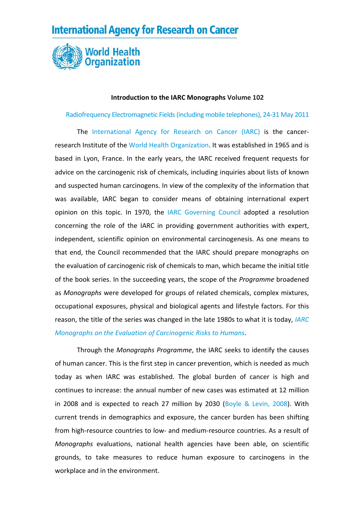## **International Agency for Research on Cancer**



## **Introduction to the IARC Monographs Volume 102**

Radiofrequency [Electromagnetic](http://monographs.iarc.fr/ENG/Meetings/index.php) Fields(including mobile telephones), 24‐31 May 2011

The [International](http://www.iarc.fr/) Agency for Research on Cancer (IARC) is the cancer‐ research Institute of the World Health [Organization.](http://www.who.int/) It was established in 1965 and is based in Lyon, France. In the early years, the IARC received frequent requests for advice on the carcinogenic risk of chemicals, including inquiries about lists of known and suspected human carcinogens. In view of the complexity of the information that was available, IARC began to consider means of obtaining international expert opinion on this topic. In 1970, the IARC [Governing](http://www.iarc.fr/en/about/governance.php) Council adopted a resolution concerning the role of the IARC in providing government authorities with expert, independent, scientific opinion on environmental carcinogenesis. As one means to that end, the Council recommended that the IARC should prepare monographs on the evaluation of carcinogenic risk of chemicals to man, which became the initial title of the book series. In the succeeding years, the scope of the *Programme* broadened as *Monographs* were developed for groups of related chemicals, complex mixtures, occupational exposures, physical and biological agents and lifestyle factors. For this reason, the title of the series was changed in the late 1980s to what it is today, *[IARC](http://monographs.iarc.fr/) Monographs on the Evaluation of [Carcinogenic](http://monographs.iarc.fr/) Risks to Humans*.

Through the *Monographs Programme*, the IARC seeks to identify the causes of human cancer. This is the first step in cancer prevention, which is needed as much today as when IARC was established. The global burden of cancer is high and continues to increase: the annual number of new cases was estimated at 12 million in 2008 and is expected to reach 27 million by 2030 (Boyle & [Levin,](http://www.iarc.fr/en/publications/pdfs-online/wcr/2008/index.php) 2008). With current trends in demographics and exposure, the cancer burden has been shifting from high‐resource countries to low‐ and medium‐resource countries. As a result of *Monographs* evaluations, national health agencies have been able, on scientific grounds, to take measures to reduce human exposure to carcinogens in the workplace and in the environment.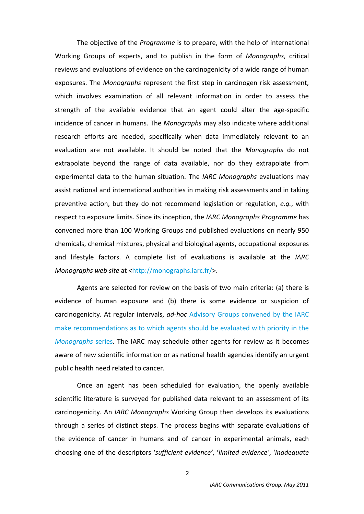The objective of the *Programme* is to prepare, with the help of international Working Groups of experts, and to publish in the form of *Monographs*, critical reviews and evaluations of evidence on the carcinogenicity of a wide range of human exposures. The *Monographs* represent the first step in carcinogen risk assessment, which involves examination of all relevant information in order to assess the strength of the available evidence that an agent could alter the age-specific incidence of cancer in humans. The *Monographs* may also indicate where additional research efforts are needed, specifically when data immediately relevant to an evaluation are not available. It should be noted that the *Monographs* do not extrapolate beyond the range of data available, nor do they extrapolate from experimental data to the human situation. The *IARC Monographs* evaluations may assist national and international authorities in making risk assessments and in taking preventive action, but they do not recommend legislation or regulation, *e.g.*, with respect to exposure limits. Since its inception, the *IARC Monographs Programme* has convened more than 100 Working Groups and published evaluations on nearly 950 chemicals, chemical mixtures, physical and biological agents, occupational exposures and lifestyle factors. A complete list of evaluations is available at the *IARC Monographs* web site at [<http://monographs.iarc.fr/](http://monographs.iarc.fr/)>.

Agents are selected for review on the basis of two main criteria: (a) there is evidence of human exposure and (b) there is some evidence or suspicion of carcinogenicity. At regular intervals, *ad‐hoc* Advisory Groups [convened](http://monographs.iarc.fr/ENG/Meetings/PriorityAgents.pdf) by the IARC make [recommendations](http://monographs.iarc.fr/ENG/Meetings/PriorityAgents.pdf) as to which agents should be evaluated with priority in the *[Monographs](http://monographs.iarc.fr/ENG/Meetings/PriorityAgents.pdf)* series. The IARC may schedule other agents for review as it becomes aware of new scientific information or as national health agencies identify an urgent public health need related to cancer.

Once an agent has been scheduled for evaluation, the openly available scientific literature is surveyed for published data relevant to an assessment of its carcinogenicity. An *IARC Monographs* Working Group then develops its evaluations through a series of distinct steps. The process begins with separate evaluations of the evidence of cancer in humans and of cancer in experimental animals, each choosing one of the descriptors '*sufficient evidence'*, '*limited evidence'*, '*inadequate*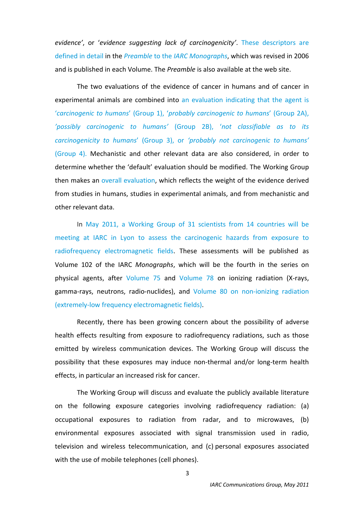*evidence'*, or '*evidence suggesting lack of carcinogenicity'*. These [descriptors](http://monographs.iarc.fr/ENG/Preamble/currentb6evalrationale0706.php) are [defined](http://monographs.iarc.fr/ENG/Preamble/currentb6evalrationale0706.php) in detail in the *Preamble* to the *IARC [Monographs](http://monographs.iarc.fr/ENG/Preamble/index.php)*, which was revised in 2006 and is published in each Volume. The *Preamble* is also available at the web site.

The two evaluations of the evidence of cancer in humans and of cancer in experimental animals are combined into an [evaluation](http://monographs.iarc.fr/ENG/Classification/index.php) indicating that the agent is '*carcinogenic to humans*' (Group 1), '*probably [carcinogenic](http://monographs.iarc.fr/ENG/Classification/index.php) to humans*' (Group 2A), *'possibly [carcinogenic](http://monographs.iarc.fr/ENG/Classification/index.php) to humans'* (Group 2B), '*not classifiable as to its [carcinogenicity](http://monographs.iarc.fr/ENG/Classification/index.php) to humans*' (Group 3), or *'probably not carcinogenic to humans'* [\(Group](http://monographs.iarc.fr/ENG/Classification/index.php) 4). Mechanistic and other relevant data are also considered, in order to determine whether the 'default' evaluation should be modified. The Working Group then makes an overall [evaluation,](http://monographs.iarc.fr/ENG/Preamble/currentb6evalrationale0706.php) which reflects the weight of the evidence derived from studies in humans, studies in experimental animals, and from mechanistic and other relevant data.

In May 2011, a Working Group of 31 scientists from 14 [countries](http://monographs.iarc.fr/ENG/Meetings/index.php) will be meeting at IARC in Lyon to assess the [carcinogenic](http://monographs.iarc.fr/ENG/Meetings/index.php) hazards from exposure to radiofrequency [electromagnetic](http://monographs.iarc.fr/ENG/Meetings/index.php) fields. These assessments will be published as Volume 102 of the IARC *Monographs*, which will be the fourth in the series on physical agents, after [Volume](http://monographs.iarc.fr/ENG/Monographs/vol75/index.php) 75 and [Volume](http://monographs.iarc.fr/ENG/Monographs/vol78/index.php) 78 on ionizing radiation (X‐rays, gamma-rays, neutrons, radio-nuclides), and Volume 80 on non-ionizing [radiation](http://monographs.iarc.fr/ENG/Monographs/vol80/index.php) (extremely‐low frequency [electromagnetic](http://monographs.iarc.fr/ENG/Monographs/vol80/index.php) fields).

Recently, there has been growing concern about the possibility of adverse health effects resulting from exposure to radiofrequency radiations, such as those emitted by wireless communication devices. The Working Group will discuss the possibility that these exposures may induce non‐thermal and/or long‐term health effects, in particular an increased risk for cancer.

The Working Group will discuss and evaluate the publicly available literature on the following exposure categories involving radiofrequency radiation: (a) occupational exposures to radiation from radar, and to microwaves, (b) environmental exposures associated with signal transmission used in radio, television and wireless telecommunication, and (c) personal exposures associated with the use of mobile telephones (cell phones).